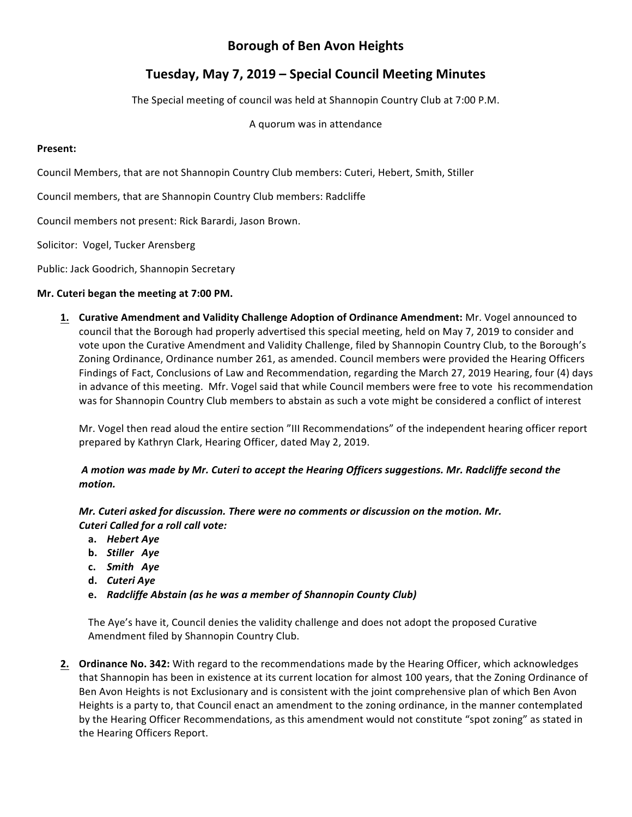# **Borough of Ben Avon Heights**

## **Tuesday, May 7, 2019 – Special Council Meeting Minutes**

The Special meeting of council was held at Shannopin Country Club at 7:00 P.M.

A quorum was in attendance

### **Present:**

Council Members, that are not Shannopin Country Club members: Cuteri, Hebert, Smith, Stiller

Council members, that are Shannopin Country Club members: Radcliffe

Council members not present: Rick Barardi, Jason Brown.

Solicitor: Vogel, Tucker Arensberg

Public: Jack Goodrich, Shannopin Secretary

## **Mr. Cuteri began the meeting at 7:00 PM.**

**1.** Curative Amendment and Validity Challenge Adoption of Ordinance Amendment: Mr. Vogel announced to council that the Borough had properly advertised this special meeting, held on May 7, 2019 to consider and vote upon the Curative Amendment and Validity Challenge, filed by Shannopin Country Club, to the Borough's Zoning Ordinance, Ordinance number 261, as amended. Council members were provided the Hearing Officers Findings of Fact, Conclusions of Law and Recommendation, regarding the March 27, 2019 Hearing, four (4) days in advance of this meeting. Mfr. Vogel said that while Council members were free to vote his recommendation was for Shannopin Country Club members to abstain as such a vote might be considered a conflict of interest

Mr. Vogel then read aloud the entire section "III Recommendations" of the independent hearing officer report prepared by Kathryn Clark, Hearing Officer, dated May 2, 2019.

## *A motion was made by Mr. Cuteri to accept the Hearing Officers suggestions. Mr. Radcliffe second the motion.*

*Mr.* Cuteri asked for discussion. There were no comments or discussion on the motion. Mr. *Cuteri Called for a roll call vote:* 

- **a.** *Hebert Aye*
- **b.** *Stiller Aye*
- **c.** *Smith Aye*
- **d.** *Cuteri Aye*
- **e.** Radcliffe Abstain (as he was a member of Shannopin County Club)

The Aye's have it, Council denies the validity challenge and does not adopt the proposed Curative Amendment filed by Shannopin Country Club.

**2. Ordinance No. 342:** With regard to the recommendations made by the Hearing Officer, which acknowledges that Shannopin has been in existence at its current location for almost 100 years, that the Zoning Ordinance of Ben Avon Heights is not Exclusionary and is consistent with the joint comprehensive plan of which Ben Avon Heights is a party to, that Council enact an amendment to the zoning ordinance, in the manner contemplated by the Hearing Officer Recommendations, as this amendment would not constitute "spot zoning" as stated in the Hearing Officers Report.